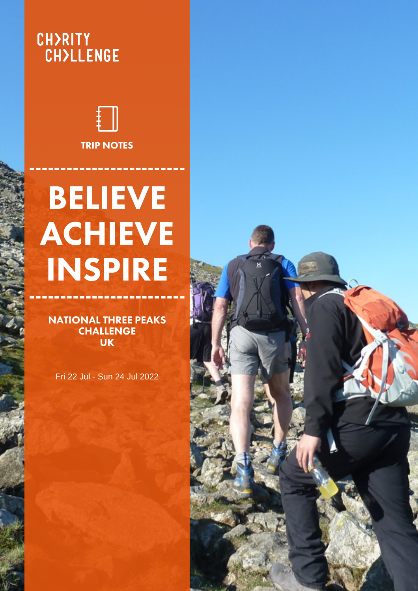# **CH>RITY<br>CH>LLENGE**



## BELIEVE ACHIEVE INSPIRE -------------------------

NATIONAL THREE PEAKS **CHALLENGE** UK

Fri 22 Jul - Sun 24 Jul 2022

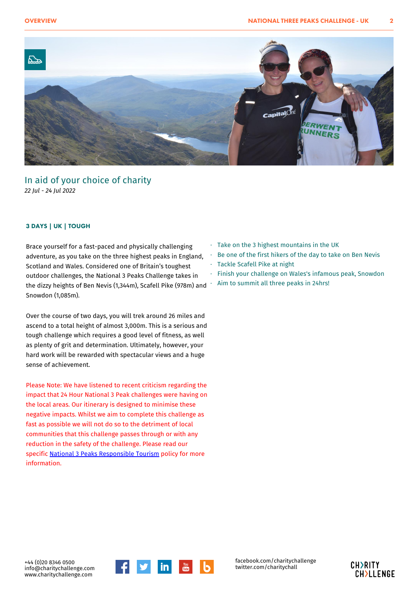

#### In aid of your choice of charity *22 Jul - 24 Jul 2022*

#### 3 DAYS | UK | TOUGH

Brace yourself for a fast-paced and physically challenging adventure, as you take on the three highest peaks in England, Scotland and Wales. Considered one of Britain's toughest outdoor challenges, the National 3 Peaks Challenge takes in the dizzy heights of Ben Nevis (1,344m), Scafell Pike (978m) and Snowdon (1,085m).

Over the course of two days, you will trek around 26 miles and ascend to a total height of almost 3,000m. This is a serious and tough challenge which requires a good level of fitness, as well as plenty of grit and determination. Ultimately, however, your hard work will be rewarded with spectacular views and a huge sense of achievement.

Please Note: We have listened to recent criticism regarding the impact that 24 Hour National 3 Peak challenges were having on the local areas. Our itinerary is designed to minimise these negative impacts. Whilst we aim to complete this challenge as fast as possible we will not do so to the detriment of local communities that this challenge passes through or with any reduction in the safety of the challenge. Please read our specific [National 3 Peaks Responsible Tourism](https://www.charitychallenge.com/National_Three_Peaks_Responsible_Tourism_Policy.html) policy for more information.

- · Take on the 3 highest mountains in the UK
- Be one of the first hikers of the day to take on Ben Nevis
- Tackle Scafell Pike at night
- · Finish your challenge on Wales's infamous peak, Snowdon
- Aim to summit all three peaks in 24hrs!

+44 (0)20 8346 0500 info@charitychallenge.com www.charitychallenge.com



facebook.com/charitychallenge twitter.com/charitychall

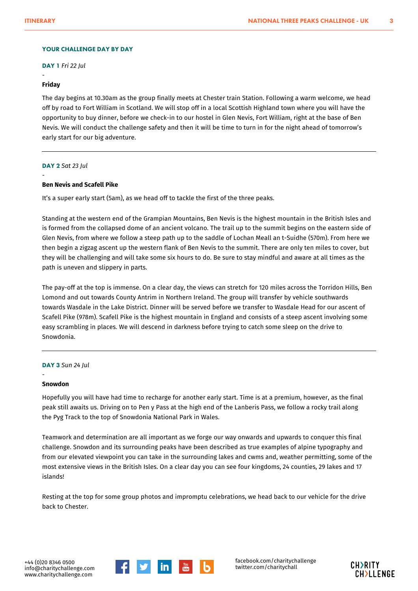#### YOUR CHALLENGE DAY BY DAY

DAY 1 *Fri 22 Jul*

#### **Friday**

-

The day begins at 10.30am as the group finally meets at Chester train Station. Following a warm welcome, we head off by road to Fort William in Scotland. We will stop off in a local Scottish Highland town where you will have the opportunity to buy dinner, before we check-in to our hostel in Glen Nevis, Fort William, right at the base of Ben Nevis. We will conduct the challenge safety and then it will be time to turn in for the night ahead of tomorrow's early start for our big adventure.

#### DAY 2 *Sat 23 Jul*

-

#### **Ben Nevis and Scafell Pike**

It's a super early start (5am), as we head off to tackle the first of the three peaks.

Standing at the western end of the Grampian Mountains, Ben Nevis is the highest mountain in the British Isles and is formed from the collapsed dome of an ancient volcano. The trail up to the summit begins on the eastern side of Glen Nevis, from where we follow a steep path up to the saddle of Lochan Meall an t-Suidhe (570m). From here we then begin a zigzag ascent up the western flank of Ben Nevis to the summit. There are only ten miles to cover, but they will be challenging and will take some six hours to do. Be sure to stay mindful and aware at all times as the path is uneven and slippery in parts.

The pay-off at the top is immense. On a clear day, the views can stretch for 120 miles across the Torridon Hills, Ben Lomond and out towards County Antrim in Northern Ireland. The group will transfer by vehicle southwards towards Wasdale in the Lake District. Dinner will be served before we transfer to Wasdale Head for our ascent of Scafell Pike (978m). Scafell Pike is the highest mountain in England and consists of a steep ascent involving some easy scrambling in places. We will descend in darkness before trying to catch some sleep on the drive to Snowdonia.

#### DAY 3 *Sun 24 Jul*

#### **Snowdon**

-

Hopefully you will have had time to recharge for another early start. Time is at a premium, however, as the final peak still awaits us. Driving on to Pen y Pass at the high end of the Lanberis Pass, we follow a rocky trail along the Pyg Track to the top of Snowdonia National Park in Wales.

Teamwork and determination are all important as we forge our way onwards and upwards to conquer this final challenge. Snowdon and its surrounding peaks have been described as true examples of alpine typography and from our elevated viewpoint you can take in the surrounding lakes and cwms and, weather permitting, some of the most extensive views in the British Isles. On a clear day you can see four kingdoms, 24 counties, 29 lakes and 17 islands!

Resting at the top for some group photos and impromptu celebrations, we head back to our vehicle for the drive back to Chester.



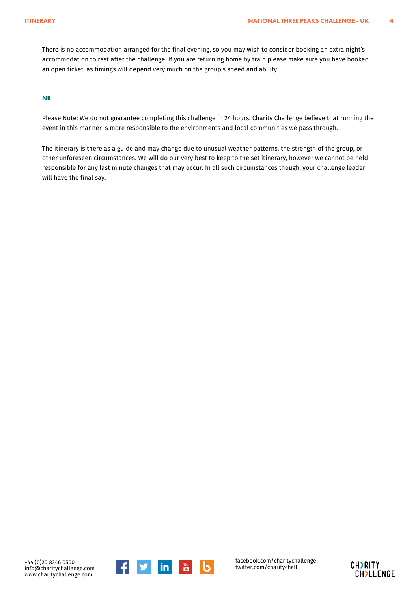There is no accommodation arranged for the final evening, so you may wish to consider booking an extra night's accommodation to rest after the challenge. If you are returning home by train please make sure you have booked an open ticket, as timings will depend very much on the group's speed and ability.

#### NB

Please Note: We do not guarantee completing this challenge in 24 hours. Charity Challenge believe that running the event in this manner is more responsible to the environments and local communities we pass through.

The itinerary is there as a guide and may change due to unusual weather patterns, the strength of the group, or other unforeseen circumstances. We will do our very best to keep to the set itinerary, however we cannot be held responsible for any last minute changes that may occur. In all such circumstances though, your challenge leader will have the final say.





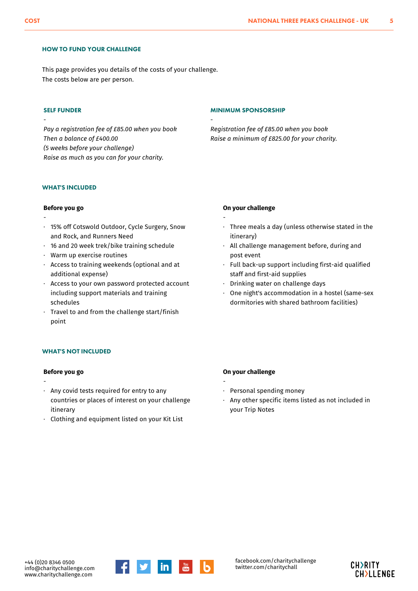#### HOW TO FUND YOUR CHALLENGE

This page provides you details of the costs of your challenge. The costs below are per person.

#### SELF FUNDER

-

-

*Pay a registration fee of £85.00 when you book Then a balance of £400.00 (5 weeks before your challenge) Raise as much as you can for your charity.*

#### MINIMUM SPONSORSHIP

-

*Registration fee of £85.00 when you book Raise a minimum of £825.00 for your charity.*

#### WHAT'S INCLUDED

#### **Before you go**

- 15% off Cotswold Outdoor, Cycle Surgery, Snow · and Rock, and Runners Need
- · 16 and 20 week trek/bike training schedule
- · Warm up exercise routines
- $\,\cdot\,\,$  Access to training weekends (optional and at additional expense)
- Access to your own password protected account including support materials and training schedules ·
- $\,\cdot\,$  Travel to and from the challenge start/finish point

#### **On your challenge**

- -
- Three meals a day (unless otherwise stated in the itinerary) ·
- $\,\cdot\,\,$  All challenge management before, during and post event
- Full back-up support including first-aid qualified staff and first-aid supplies ·
- · Drinking water on challenge days
- One night's accommodation in a hostel (same-sex dormitories with shared bathroom facilities) ·

#### WHAT'S NOT INCLUDED

#### **Before you go**

- $\,\cdot\,\,$  Any covid tests required for entry to any countries or places of interest on your challenge itinerary
- · Clothing and equipment listed on your Kit List

#### **On your challenge**

- Personal spending money
- $\,\cdot\,$  Any other specific items listed as not included in your Trip Notes



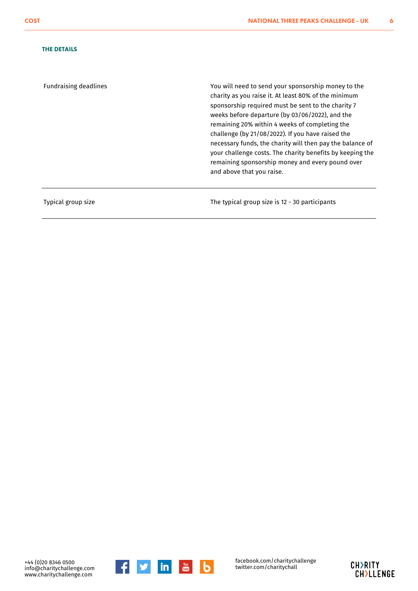#### THE DETAILS

Fundraising deadlines You will need to send your sponsorship money to the charity as you raise it. At least 80% of the minimum sponsorship required must be sent to the charity 7 weeks before departure (by 03/06/2022), and the remaining 20% within 4 weeks of completing the challenge (by 21/08/2022). If you have raised the necessary funds, the charity will then pay the balance of your challenge costs. The charity benefits by keeping the remaining sponsorship money and every pound over and above that you raise.

Typical group size The typical group size is 12 - 30 participants



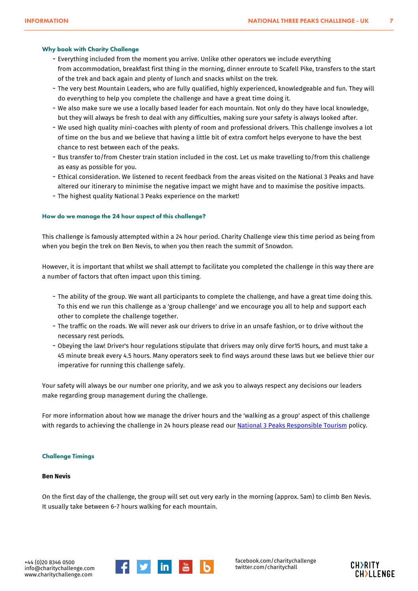#### Why book with Charity Challenge

- Everything included from the moment you arrive. Unlike other operators we include everything from accommodation, breakfast first thing in the morning, dinner enroute to Scafell Pike, transfers to the start of the trek and back again and plenty of lunch and snacks whilst on the trek.
- The very best Mountain Leaders, who are fully qualified, highly experienced, knowledgeable and fun. They will do everything to help you complete the challenge and have a great time doing it.
- We also make sure we use a locally based leader for each mountain. Not only do they have local knowledge, but they will always be fresh to deal with any difficulties, making sure your safety is always looked after.
- We used high quality mini-coaches with plenty of room and professional drivers. This challenge involves a lot of time on the bus and we believe that having a little bit of extra comfort helps everyone to have the best chance to rest between each of the peaks.
- Bus transfer to/from Chester train station included in the cost. Let us make travelling to/from this challenge as easy as possible for you.
- Ethical consideration. We listened to recent feedback from the areas visited on the National 3 Peaks and have altered our itinerary to minimise the negative impact we might have and to maximise the positive impacts.
- The highest quality National 3 Peaks experience on the market!

#### How do we manage the 24 hour aspect of this challenge?

This challenge is famously attempted within a 24 hour period. Charity Challenge view this time period as being from when you begin the trek on Ben Nevis, to when you then reach the summit of Snowdon.

However, it is important that whilst we shall attempt to facilitate you completed the challenge in this way there are a number of factors that often impact upon this timing.

- The ability of the group. We want all participants to complete the challenge, and have a great time doing this. To this end we run this challenge as a 'group challenge' and we encourage you all to help and support each other to complete the challenge together.
- The traffic on the roads. We will never ask our drivers to drive in an unsafe fashion, or to drive without the necessary rest periods.
- Obeying the law! Driver's hour regulations stipulate that drivers may only dirve for15 hours, and must take a 45 minute break every 4.5 hours. Many operators seek to find ways around these laws but we believe thier our imperative for running this challenge safely.

Your safety will always be our number one priority, and we ask you to always respect any decisions our leaders make regarding group management during the challenge.

For more information about how we manage the driver hours and the 'walking as a group' aspect of this challenge with regards to achieving the challenge in 24 hours please read our **[National 3 Peaks Responsible Tourism](https://www.charitychallenge.com/National_Three_Peaks_Responsible_Tourism_Policy.html)** policy.

#### Challenge Timings

#### **Ben Nevis**

On the first day of the challenge, the group will set out very early in the morning (approx. 5am) to climb Ben Nevis. It usually take between 6-7 hours walking for each mountain.



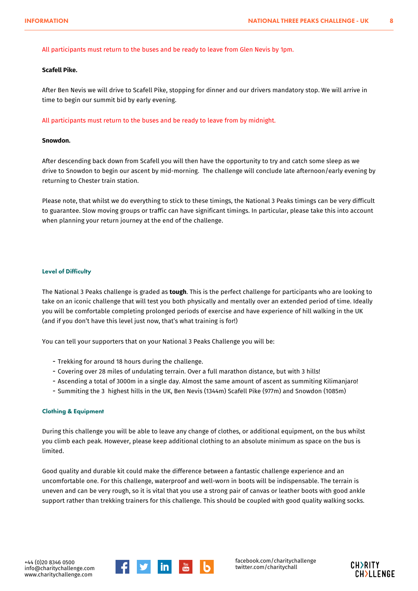#### All participants must return to the buses and be ready to leave from Glen Nevis by 1pm.

#### **Scafell Pike.**

After Ben Nevis we will drive to Scafell Pike, stopping for dinner and our drivers mandatory stop. We will arrive in time to begin our summit bid by early evening.

All participants must return to the buses and be ready to leave from by midnight.

#### **Snowdon.**

After descending back down from Scafell you will then have the opportunity to try and catch some sleep as we drive to Snowdon to begin our ascent by mid-morning. The challenge will conclude late afternoon/early evening by returning to Chester train station.

Please note, that whilst we do everything to stick to these timings, the National 3 Peaks timings can be very difficult to guarantee. Slow moving groups or traffic can have significant timings. In particular, please take this into account when planning your return journey at the end of the challenge.

#### Level of Difficulty

The National 3 Peaks challenge is graded as **tough**. This is the perfect challenge for participants who are looking to take on an iconic challenge that will test you both physically and mentally over an extended period of time. Ideally you will be comfortable completing prolonged periods of exercise and have experience of hill walking in the UK (and if you don't have this level just now, that's what training is for!)

You can tell your supporters that on your National 3 Peaks Challenge you will be:

- Trekking for around 18 hours during the challenge.
- Covering over 28 miles of undulating terrain. Over a full marathon distance, but with 3 hills!
- Ascending a total of 3000m in a single day. Almost the same amount of ascent as summiting Kilimanjaro!
- Summiting the 3 highest hills in the UK, Ben Nevis (1344m) Scafell Pike (977m) and Snowdon (1085m)

#### Clothing & Equipment

During this challenge you will be able to leave any change of clothes, or additional equipment, on the bus whilst you climb each peak. However, please keep additional clothing to an absolute minimum as space on the bus is limited.

Good quality and durable kit could make the difference between a fantastic challenge experience and an uncomfortable one. For this challenge, waterproof and well-worn in boots will be indispensable. The terrain is uneven and can be very rough, so it is vital that you use a strong pair of canvas or leather boots with good ankle support rather than trekking trainers for this challenge. This should be coupled with good quality walking socks.



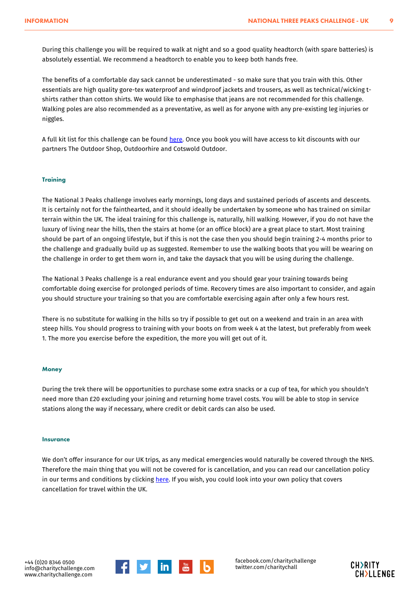During this challenge you will be required to walk at night and so a good quality headtorch (with spare batteries) is absolutely essential. We recommend a headtorch to enable you to keep both hands free.

The benefits of a comfortable day sack cannot be underestimated - so make sure that you train with this. Other essentials are high quality gore-tex waterproof and windproof jackets and trousers, as well as technical/wicking tshirts rather than cotton shirts. We would like to emphasise that jeans are not recommended for this challenge. Walking poles are also recommended as a preventative, as well as for anyone with any pre-existing leg injuries or niggles.

A full kit list for this challenge can be found [here.](https://cdn.charitychallenge.com/pdf/NATIONAL_3_PEAKS_2016_Kit_List.pdf) Once you book you will have access to kit discounts with our partners The Outdoor Shop, Outdoorhire and Cotswold Outdoor.

#### **Training**

The National 3 Peaks challenge involves early mornings, long days and sustained periods of ascents and descents. It is certainly not for the fainthearted, and it should ideally be undertaken by someone who has trained on similar terrain within the UK. The ideal training for this challenge is, naturally, hill walking. However, if you do not have the luxury of living near the hills, then the stairs at home (or an office block) are a great place to start. Most training should be part of an ongoing lifestyle, but if this is not the case then you should begin training 2-4 months prior to the challenge and gradually build up as suggested. Remember to use the walking boots that you will be wearing on the challenge in order to get them worn in, and take the daysack that you will be using during the challenge.

The National 3 Peaks challenge is a real endurance event and you should gear your training towards being comfortable doing exercise for prolonged periods of time. Recovery times are also important to consider, and again you should structure your training so that you are comfortable exercising again after only a few hours rest.

There is no substitute for walking in the hills so try if possible to get out on a weekend and train in an area with steep hills. You should progress to training with your boots on from week 4 at the latest, but preferably from week 1. The more you exercise before the expedition, the more you will get out of it.

#### **Money**

During the trek there will be opportunities to purchase some extra snacks or a cup of tea, for which you shouldn't need more than £20 excluding your joining and returning home travel costs. You will be able to stop in service stations along the way if necessary, where credit or debit cards can also be used.

#### **Insurance**

We don't offer insurance for our UK trips, as any medical emergencies would naturally be covered through the NHS. Therefore the main thing that you will not be covered for is cancellation, and you can read our cancellation policy in our terms and conditions by clicking [here](https://www.charitychallenge.com/tandc.html). If you wish, you could look into your own policy that covers cancellation for travel within the UK.



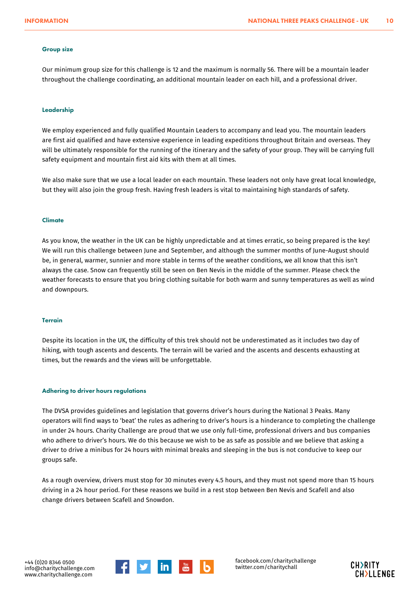#### Group size

Our minimum group size for this challenge is 12 and the maximum is normally 56. There will be a mountain leader throughout the challenge coordinating, an additional mountain leader on each hill, and a professional driver.

#### Leadership

We employ experienced and fully qualified Mountain Leaders to accompany and lead you. The mountain leaders are first aid qualified and have extensive experience in leading expeditions throughout Britain and overseas. They will be ultimately responsible for the running of the itinerary and the safety of your group. They will be carrying full safety equipment and mountain first aid kits with them at all times.

We also make sure that we use a local leader on each mountain. These leaders not only have great local knowledge, but they will also join the group fresh. Having fresh leaders is vital to maintaining high standards of safety.

#### **Climate**

As you know, the weather in the UK can be highly unpredictable and at times erratic, so being prepared is the key! We will run this challenge between June and September, and although the summer months of June-August should be, in general, warmer, sunnier and more stable in terms of the weather conditions, we all know that this isn't always the case. Snow can frequently still be seen on Ben Nevis in the middle of the summer. Please check the weather forecasts to ensure that you bring clothing suitable for both warm and sunny temperatures as well as wind and downpours.

#### **Terrain**

Despite its location in the UK, the difficulty of this trek should not be underestimated as it includes two day of hiking, with tough ascents and descents. The terrain will be varied and the ascents and descents exhausting at times, but the rewards and the views will be unforgettable.

#### Adhering to driver hours regulations

The DVSA provides guidelines and legislation that governs driver's hours during the National 3 Peaks. Many operators will find ways to 'beat' the rules as adhering to driver's hours is a hinderance to completing the challenge in under 24 hours. Charity Challenge are proud that we use only full-time, professional drivers and bus companies who adhere to driver's hours. We do this because we wish to be as safe as possible and we believe that asking a driver to drive a minibus for 24 hours with minimal breaks and sleeping in the bus is not conducive to keep our groups safe.

As a rough overview, drivers must stop for 30 minutes every 4.5 hours, and they must not spend more than 15 hours driving in a 24 hour period. For these reasons we build in a rest stop between Ben Nevis and Scafell and also change drivers between Scafell and Snowdon.



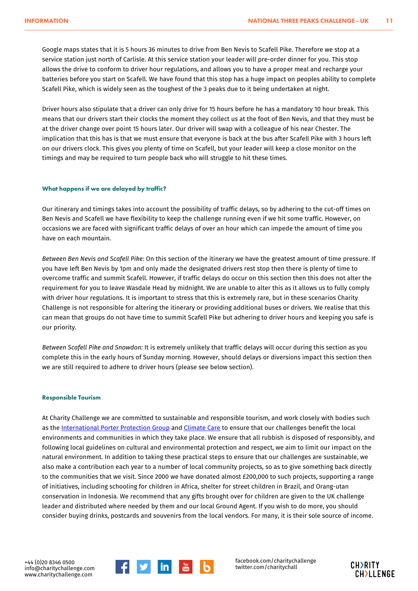Google maps states that it is 5 hours 36 minutes to drive from Ben Nevis to Scafell Pike. Therefore we stop at a service station just north of Carlisle. At this service station your leader will pre-order dinner for you. This stop allows the drive to conform to driver hour regulations, and allows you to have a proper meal and recharge your batteries before you start on Scafell. We have found that this stop has a huge impact on peoples ability to complete Scafell Pike, which is widely seen as the toughest of the 3 peaks due to it being undertaken at night.

Driver hours also stipulate that a driver can only drive for 15 hours before he has a mandatory 10 hour break. This means that our drivers start their clocks the moment they collect us at the foot of Ben Nevis, and that they must be at the driver change over point 15 hours later. Our driver will swap with a colleague of his near Chester. The implication that this has is that we must ensure that everyone is back at the bus after Scafell Pike with 3 hours left on our drivers clock. This gives you plenty of time on Scafell, but your leader will keep a close monitor on the timings and may be required to turn people back who will struggle to hit these times.

#### What happens if we are delayed by traffic?

Our itinerary and timings takes into account the possibility of traffic delays, so by adhering to the cut-off times on Ben Nevis and Scafell we have flexibility to keep the challenge running even if we hit some traffic. However, on occasions we are faced with significant traffic delays of over an hour which can impede the amount of time you have on each mountain.

*Between Ben Nevis and Scafell Pike:* On this section of the itinerary we have the greatest amount of time pressure. If you have left Ben Nevis by 1pm and only made the designated drivers rest stop then there is plenty of time to overcome traffic and summit Scafell. However, if traffic delays do occur on this section then this does not alter the requirement for you to leave Wasdale Head by midnight. We are unable to alter this as it allows us to fully comply with driver hour regulations. It is important to stress that this is extremely rare, but in these scenarios Charity Challenge is not responsible for altering the itinerary or providing additional buses or drivers. We realise that this can mean that groups do not have time to summit Scafell Pike but adhering to driver hours and keeping you safe is our priority.

*Between Scafell Pike and Snowdon:* It is extremely unlikely that traffic delays will occur during this section as you complete this in the early hours of Sunday morning. However, should delays or diversions impact this section then we are still required to adhere to driver hours (please see below section).

#### Responsible Tourism

At Charity Challenge we are committed to sustainable and responsible tourism, and work closely with bodies such as the [International Porter Protection Group](http://ippg.net/) and [Climate Care](http://www.climatecare.org) to ensure that our challenges benefit the local environments and communities in which they take place. We ensure that all rubbish is disposed of responsibly, and following local guidelines on cultural and environmental protection and respect, we aim to limit our impact on the natural environment. In addition to taking these practical steps to ensure that our challenges are sustainable, we also make a contribution each year to a number of local community projects, so as to give something back directly to the communities that we visit. Since 2000 we have donated almost £200,000 to such projects, supporting a range of initiatives, including schooling for children in Africa, shelter for street children in Brazil, and Orang-utan conservation in Indonesia. We recommend that any gifts brought over for children are given to the UK challenge leader and distributed where needed by them and our local Ground Agent. If you wish to do more, you should consider buying drinks, postcards and souvenirs from the local vendors. For many, it is their sole source of income.



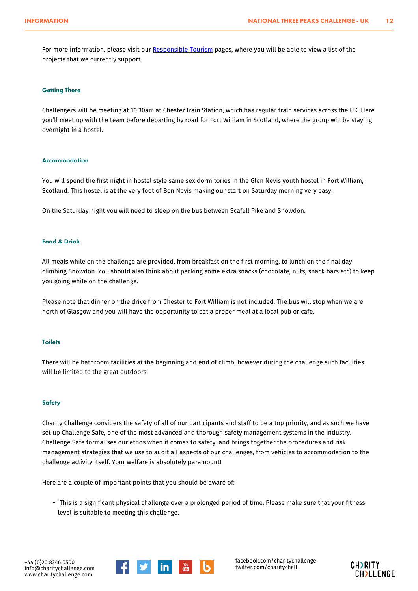For more information, please visit our [Responsible Tourism](/why-charity-challenge.html#responsibletourism) pages, where you will be able to view a list of the projects that we currently support.

#### **Getting There**

Challengers will be meeting at 10.30am at Chester train Station, which has regular train services across the UK. Here you'll meet up with the team before departing by road for Fort William in Scotland, where the group will be staying overnight in a hostel.

#### Accommodation

You will spend the first night in hostel style same sex dormitories in the Glen Nevis youth hostel in Fort William, Scotland. This hostel is at the very foot of Ben Nevis making our start on Saturday morning very easy.

On the Saturday night you will need to sleep on the bus between Scafell Pike and Snowdon.

#### Food & Drink

All meals while on the challenge are provided, from breakfast on the first morning, to lunch on the final day climbing Snowdon. You should also think about packing some extra snacks (chocolate, nuts, snack bars etc) to keep you going while on the challenge.

Please note that dinner on the drive from Chester to Fort William is not included. The bus will stop when we are north of Glasgow and you will have the opportunity to eat a proper meal at a local pub or cafe.

#### Toilets

There will be bathroom facilities at the beginning and end of climb; however during the challenge such facilities will be limited to the great outdoors.

#### **Safety**

Charity Challenge considers the safety of all of our participants and staff to be a top priority, and as such we have set up Challenge Safe, one of the most advanced and thorough safety management systems in the industry. Challenge Safe formalises our ethos when it comes to safety, and brings together the procedures and risk management strategies that we use to audit all aspects of our challenges, from vehicles to accommodation to the challenge activity itself. Your welfare is absolutely paramount!

Here are a couple of important points that you should be aware of:

 This is a significant physical challenge over a prolonged period of time. Please make sure that your fitness level is suitable to meeting this challenge.



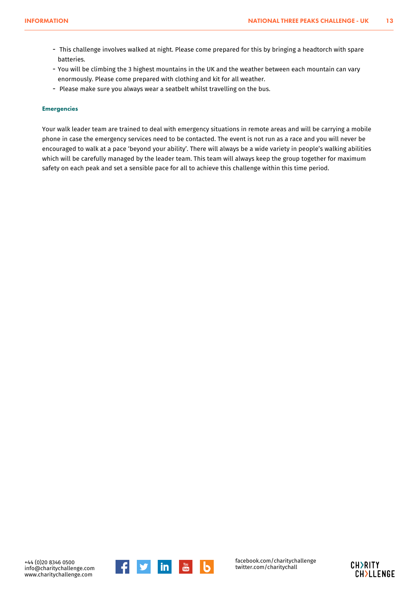- This challenge involves walked at night. Please come prepared for this by bringing a headtorch with spare batteries.
- You will be climbing the 3 highest mountains in the UK and the weather between each mountain can vary enormously. Please come prepared with clothing and kit for all weather.
- Please make sure you always wear a seatbelt whilst travelling on the bus.

#### Emergencies

Your walk leader team are trained to deal with emergency situations in remote areas and will be carrying a mobile phone in case the emergency services need to be contacted. The event is not run as a race and you will never be encouraged to walk at a pace 'beyond your ability'. There will always be a wide variety in people's walking abilities which will be carefully managed by the leader team. This team will always keep the group together for maximum safety on each peak and set a sensible pace for all to achieve this challenge within this time period.



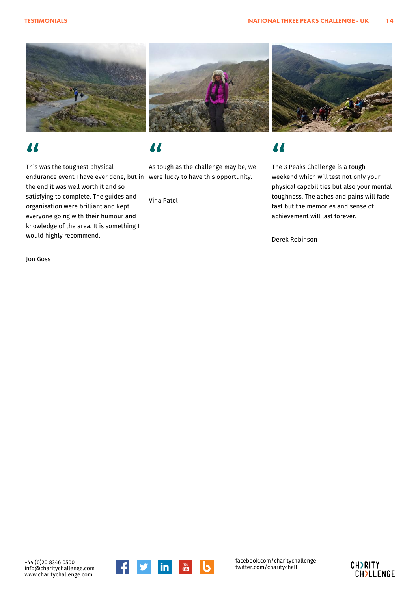





## "

This was the toughest physical endurance event I have ever done, but in were lucky to have this opportunity. the end it was well worth it and so satisfying to complete. The guides and organisation were brilliant and kept everyone going with their humour and knowledge of the area. It is something I would highly recommend.

Jon Goss

## "

As tough as the challenge may be, we

Vina Patel

## "

The 3 Peaks Challenge is a tough weekend which will test not only your physical capabilities but also your mental toughness. The aches and pains will fade fast but the memories and sense of achievement will last forever.

Derek Robinson

+44 (0)20 8346 0500 info@charitychallenge.com www.charitychallenge.com